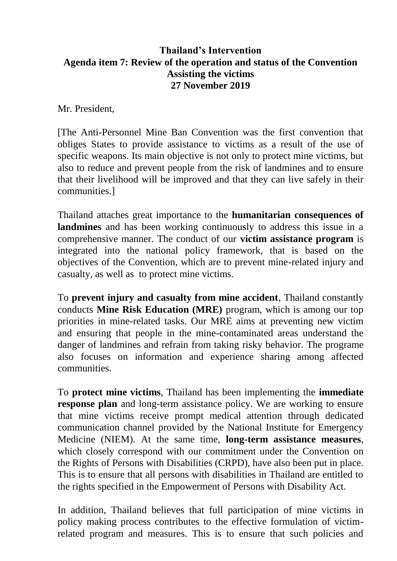## **Thailand's Intervention Agenda item 7: Review of the operation and status of the Convention Assisting the victims 27 November 2019**

Mr. President,

[The Anti-Personnel Mine Ban Convention was the first convention that obliges States to provide assistance to victims as a result of the use of specific weapons. Its main objective is not only to protect mine victims, but also to reduce and prevent people from the risk of landmines and to ensure that their livelihood will be improved and that they can live safely in their communities.]

Thailand attaches great importance to the **humanitarian consequences of landmines** and has been working continuously to address this issue in a comprehensive manner. The conduct of our **victim assistance program** is integrated into the national policy framework, that is based on the objectives of the Convention, which are to prevent mine-related injury and casualty, as well as to protect mine victims.

To **prevent injury and casualty from mine accident**, Thailand constantly conducts **Mine Risk Education (MRE)** program, which is among our top priorities in mine-related tasks. Our MRE aims at preventing new victim and ensuring that people in the mine-contaminated areas understand the danger of landmines and refrain from taking risky behavior. The programe also focuses on information and experience sharing among affected communities.

To **protect mine victims**, Thailand has been implementing the **immediate response plan** and long-term assistance policy. We are working to ensure that mine victims receive prompt medical attention through dedicated communication channel provided by the National Institute for Emergency Medicine (NIEM). At the same time, **long-term assistance measures**, which closely correspond with our commitment under the Convention on the Rights of Persons with Disabilities (CRPD), have also been put in place. This is to ensure that all persons with disabilities in Thailand are entitled to the rights specified in the Empowerment of Persons with Disability Act.

In addition, Thailand believes that full participation of mine victims in policy making process contributes to the effective formulation of victimrelated program and measures. This is to ensure that such policies and